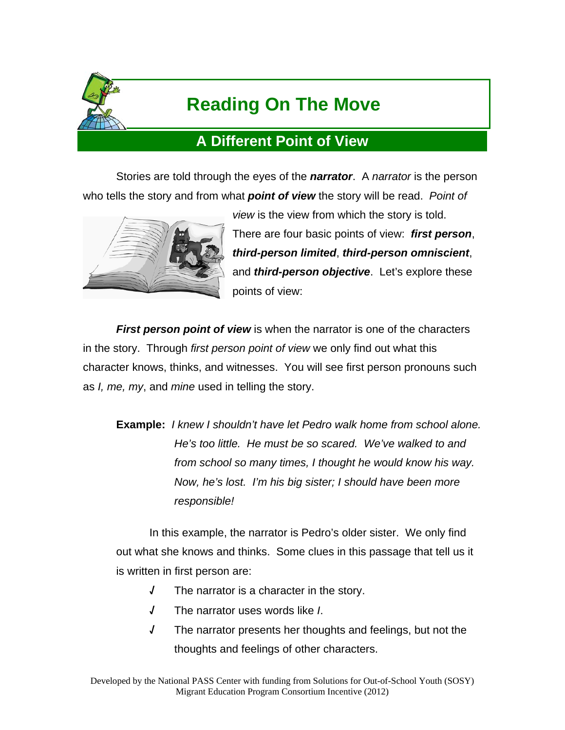

# **Reading On The Move**

## **A Different Point of View**

 Stories are told through the eyes of the *narrator*. A *narrator* is the person who tells the story and from what *point of view* the story will be read. *Point of* 



*view* is the view from which the story is told. There are four basic points of view: *first person*, *third-person limited*, *third-person omniscient*, and *third-person objective*. Let's explore these points of view:

*First person point of view* is when the narrator is one of the characters in the story. Through *first person point of view* we only find out what this character knows, thinks, and witnesses. You will see first person pronouns such as *I, me, my*, and *mine* used in telling the story.

**Example:** *I knew I shouldn't have let Pedro walk home from school alone. He's too little. He must be so scared. We've walked to and from school so many times, I thought he would know his way. Now, he's lost. I'm his big sister; I should have been more responsible!* 

 In this example, the narrator is Pedro's older sister. We only find out what she knows and thinks. Some clues in this passage that tell us it is written in first person are:

- **√** The narrator is a character in the story.
- **√** The narrator uses words like *I*.
- **√** The narrator presents her thoughts and feelings, but not the thoughts and feelings of other characters.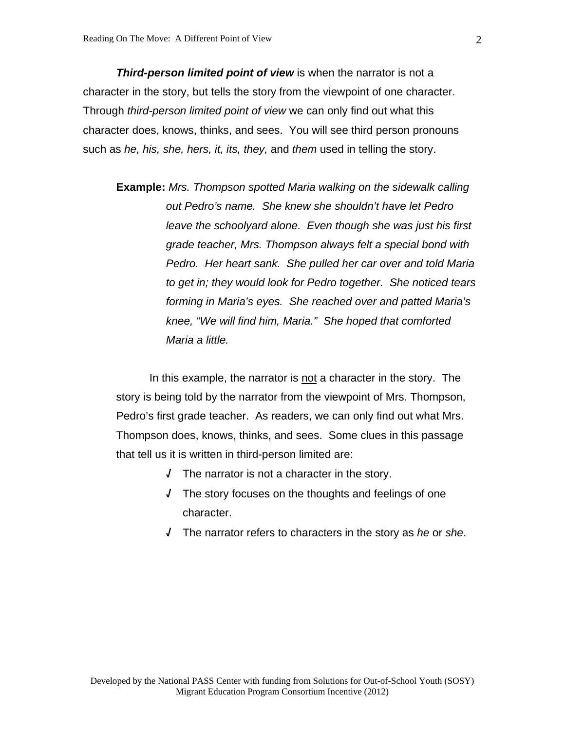*Third-person limited point of view* is when the narrator is not a character in the story, but tells the story from the viewpoint of one character. Through *third-person limited point of view* we can only find out what this character does, knows, thinks, and sees. You will see third person pronouns such as *he, his, she, hers, it, its, they,* and *them* used in telling the story.

**Example:** *Mrs. Thompson spotted Maria walking on the sidewalk calling out Pedro's name. She knew she shouldn't have let Pedro leave the schoolyard alone. Even though she was just his first grade teacher, Mrs. Thompson always felt a special bond with Pedro. Her heart sank. She pulled her car over and told Maria to get in; they would look for Pedro together. She noticed tears forming in Maria's eyes. She reached over and patted Maria's knee, "We will find him, Maria." She hoped that comforted Maria a little.* 

 In this example, the narrator is not a character in the story. The story is being told by the narrator from the viewpoint of Mrs. Thompson, Pedro's first grade teacher. As readers, we can only find out what Mrs. Thompson does, knows, thinks, and sees. Some clues in this passage that tell us it is written in third-person limited are:

- **√** The narrator is not a character in the story.
- **√** The story focuses on the thoughts and feelings of one character.
- **√** The narrator refers to characters in the story as *he* or *she*.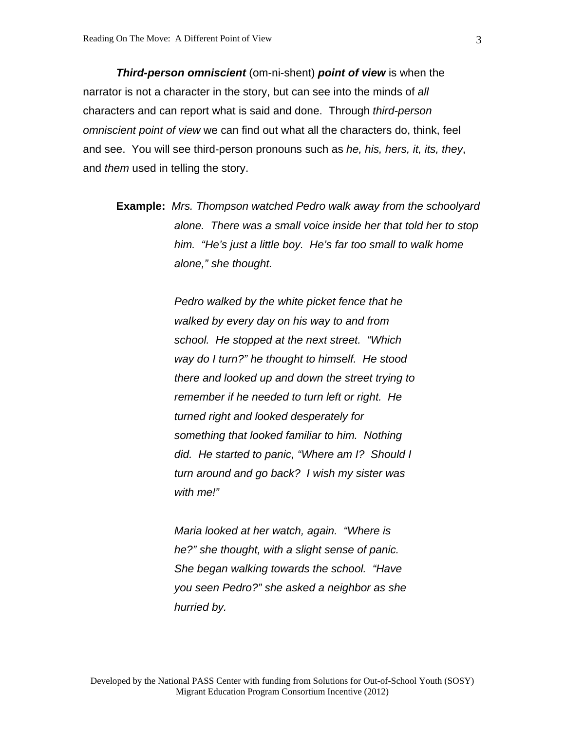*Third-person omniscient* (om-ni-shent) *point of view* is when the narrator is not a character in the story, but can see into the minds of *all* characters and can report what is said and done. Through *third-person omniscient point of view* we can find out what all the characters do, think, feel and see. You will see third-person pronouns such as *he, his, hers, it, its, they*, and *them* used in telling the story.

**Example:** *Mrs. Thompson watched Pedro walk away from the schoolyard alone. There was a small voice inside her that told her to stop him. "He's just a little boy. He's far too small to walk home alone," she thought.* 

> *Pedro walked by the white picket fence that he walked by every day on his way to and from school. He stopped at the next street. "Which way do I turn?" he thought to himself. He stood there and looked up and down the street trying to remember if he needed to turn left or right. He turned right and looked desperately for something that looked familiar to him. Nothing did. He started to panic, "Where am I? Should I turn around and go back? I wish my sister was with me!"*

*Maria looked at her watch, again. "Where is he?" she thought, with a slight sense of panic. She began walking towards the school. "Have you seen Pedro?" she asked a neighbor as she hurried by.*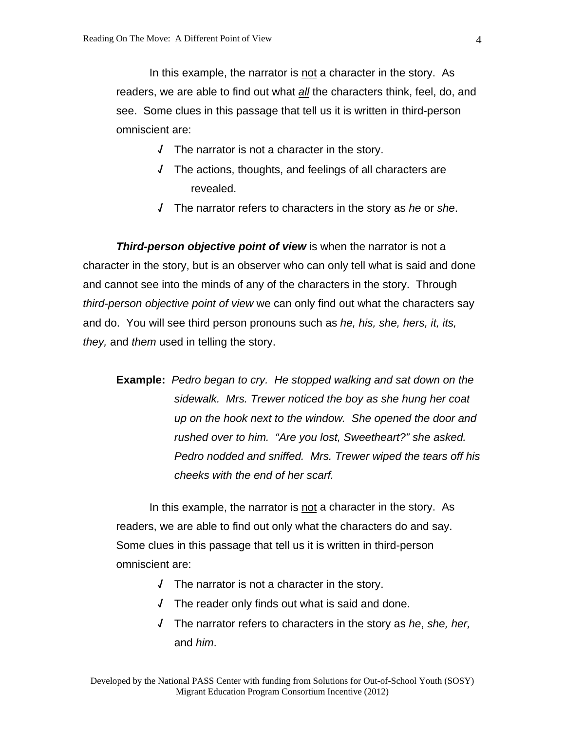In this example, the narrator is not a character in the story. As readers, we are able to find out what *all* the characters think, feel, do, and see. Some clues in this passage that tell us it is written in third-person omniscient are:

- **√** The narrator is not a character in the story.
- **√** The actions, thoughts, and feelings of all characters are revealed.
- **√** The narrator refers to characters in the story as *he* or *she*.

**Third-person objective point of view** is when the narrator is not a character in the story, but is an observer who can only tell what is said and done and cannot see into the minds of any of the characters in the story. Through *third-person objective point of view* we can only find out what the characters say and do. You will see third person pronouns such as *he, his, she, hers, it, its, they,* and *them* used in telling the story.

**Example:** *Pedro began to cry. He stopped walking and sat down on the sidewalk. Mrs. Trewer noticed the boy as she hung her coat up on the hook next to the window. She opened the door and rushed over to him. "Are you lost, Sweetheart?" she asked. Pedro nodded and sniffed. Mrs. Trewer wiped the tears off his cheeks with the end of her scarf.* 

 In this example, the narrator is not a character in the story. As readers, we are able to find out only what the characters do and say. Some clues in this passage that tell us it is written in third-person omniscient are:

- **√** The narrator is not a character in the story.
- **√** The reader only finds out what is said and done.
- **√** The narrator refers to characters in the story as *he*, *she, her,*  and *him*.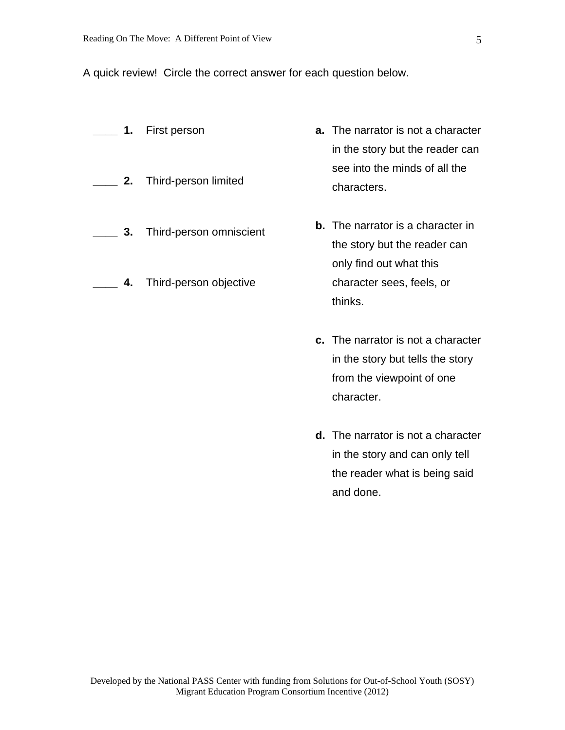A quick review! Circle the correct answer for each question below.

| 1. | First person            | <b>a.</b> The narrator is not a character |
|----|-------------------------|-------------------------------------------|
|    |                         | in the story but the reader can           |
|    | Third-person limited    | see into the minds of all the             |
| 2. |                         | characters.                               |
|    |                         |                                           |
| 3. | Third-person omniscient | <b>b.</b> The narrator is a character in  |
|    |                         | the story but the reader can              |
|    |                         | only find out what this                   |
| 4. | Third-person objective  | character sees, feels, or                 |
|    |                         |                                           |

- out the reader can minds of all the
- **is a character in** the reader can what this es, feels, or thinks.
- **c.** The narrator is not a character in the story but tells the story from the viewpoint of one character.
- **d.** The narrator is not a character in the story and can only tell the reader what is being said and done.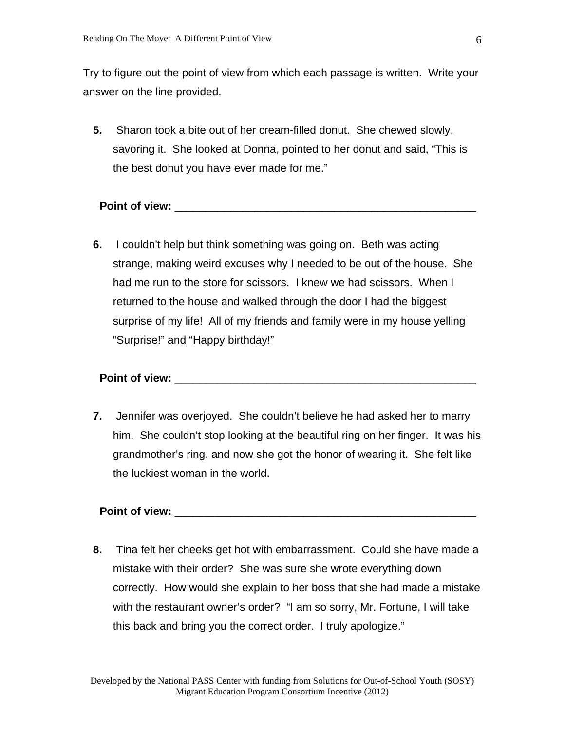Try to figure out the point of view from which each passage is written. Write your answer on the line provided.

**5.** Sharon took a bite out of her cream-filled donut. She chewed slowly, savoring it. She looked at Donna, pointed to her donut and said, "This is the best donut you have ever made for me."

#### **Point of view:** \_\_\_\_\_\_\_\_\_\_\_\_\_\_\_\_\_\_\_\_\_\_\_\_\_\_\_\_\_\_\_\_\_\_\_\_\_\_\_\_\_\_\_\_\_\_\_\_\_

**6.** I couldn't help but think something was going on. Beth was acting strange, making weird excuses why I needed to be out of the house. She had me run to the store for scissors. I knew we had scissors. When I returned to the house and walked through the door I had the biggest surprise of my life! All of my friends and family were in my house yelling "Surprise!" and "Happy birthday!"

#### **Point of view:**  $\blacksquare$

**7.** Jennifer was overjoyed. She couldn't believe he had asked her to marry him. She couldn't stop looking at the beautiful ring on her finger. It was his grandmother's ring, and now she got the honor of wearing it. She felt like the luckiest woman in the world.

#### **Point of view:** \_\_\_\_\_\_\_\_\_\_\_\_\_\_\_\_\_\_\_\_\_\_\_\_\_\_\_\_\_\_\_\_\_\_\_\_\_\_\_\_\_\_\_\_\_\_\_\_\_

**8.** Tina felt her cheeks get hot with embarrassment. Could she have made a mistake with their order? She was sure she wrote everything down correctly. How would she explain to her boss that she had made a mistake with the restaurant owner's order? "I am so sorry, Mr. Fortune, I will take this back and bring you the correct order. I truly apologize."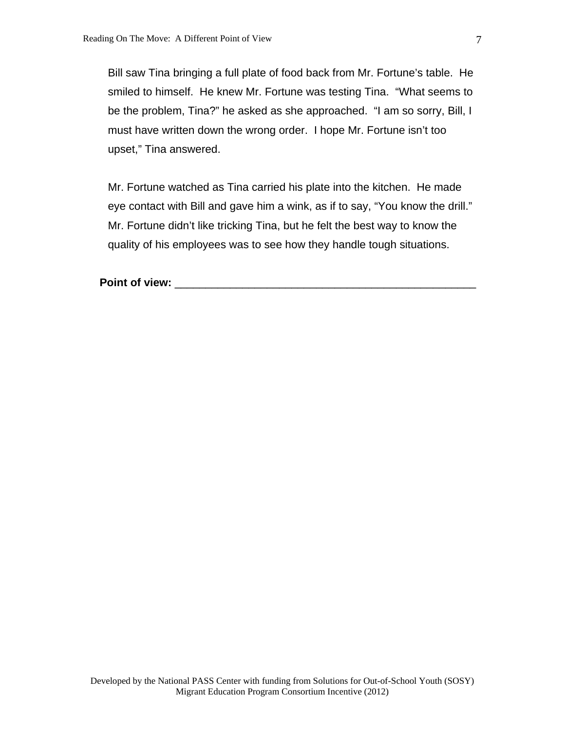Bill saw Tina bringing a full plate of food back from Mr. Fortune's table. He smiled to himself. He knew Mr. Fortune was testing Tina. "What seems to be the problem, Tina?" he asked as she approached. "I am so sorry, Bill, I must have written down the wrong order. I hope Mr. Fortune isn't too upset," Tina answered.

Mr. Fortune watched as Tina carried his plate into the kitchen. He made eye contact with Bill and gave him a wink, as if to say, "You know the drill." Mr. Fortune didn't like tricking Tina, but he felt the best way to know the quality of his employees was to see how they handle tough situations.

**Point of view:** <u>and</u> the set of  $\alpha$  is the set of  $\alpha$  is the set of  $\alpha$  is the set of  $\alpha$  is the set of  $\alpha$  is the set of  $\alpha$  is the set of  $\alpha$  is the set of  $\alpha$  is the set of  $\alpha$  is the set of  $\alpha$  is the set o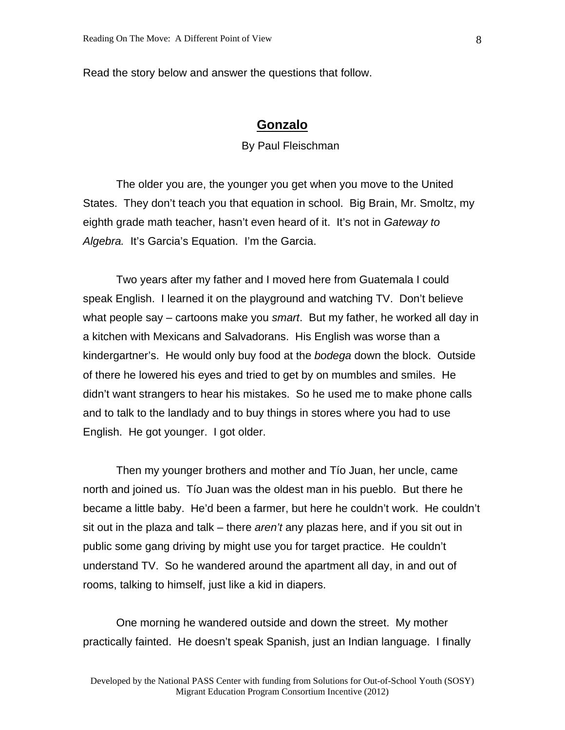Read the story below and answer the questions that follow.

#### **Gonzalo**

By Paul Fleischman

 The older you are, the younger you get when you move to the United States. They don't teach you that equation in school. Big Brain, Mr. Smoltz, my eighth grade math teacher, hasn't even heard of it. It's not in *Gateway to Algebra.* It's Garcia's Equation. I'm the Garcia.

 Two years after my father and I moved here from Guatemala I could speak English. I learned it on the playground and watching TV. Don't believe what people say – cartoons make you *smart*. But my father, he worked all day in a kitchen with Mexicans and Salvadorans. His English was worse than a kindergartner's. He would only buy food at the *bodega* down the block. Outside of there he lowered his eyes and tried to get by on mumbles and smiles. He didn't want strangers to hear his mistakes. So he used me to make phone calls and to talk to the landlady and to buy things in stores where you had to use English. He got younger. I got older.

 Then my younger brothers and mother and Tío Juan, her uncle, came north and joined us. Tío Juan was the oldest man in his pueblo. But there he became a little baby. He'd been a farmer, but here he couldn't work. He couldn't sit out in the plaza and talk – there *aren't* any plazas here, and if you sit out in public some gang driving by might use you for target practice. He couldn't understand TV. So he wandered around the apartment all day, in and out of rooms, talking to himself, just like a kid in diapers.

 One morning he wandered outside and down the street. My mother practically fainted. He doesn't speak Spanish, just an Indian language. I finally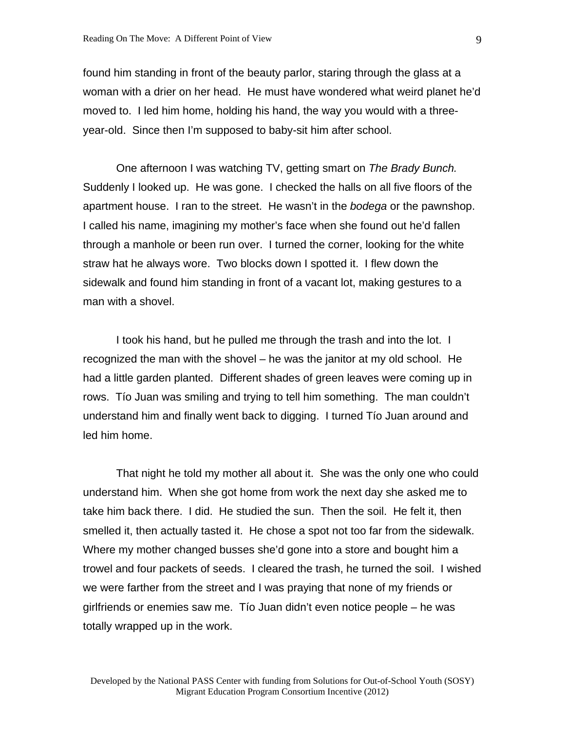found him standing in front of the beauty parlor, staring through the glass at a woman with a drier on her head. He must have wondered what weird planet he'd moved to. I led him home, holding his hand, the way you would with a threeyear-old. Since then I'm supposed to baby-sit him after school.

 One afternoon I was watching TV, getting smart on *The Brady Bunch.* Suddenly I looked up. He was gone. I checked the halls on all five floors of the apartment house. I ran to the street. He wasn't in the *bodega* or the pawnshop. I called his name, imagining my mother's face when she found out he'd fallen through a manhole or been run over. I turned the corner, looking for the white straw hat he always wore. Two blocks down I spotted it. I flew down the sidewalk and found him standing in front of a vacant lot, making gestures to a man with a shovel.

 I took his hand, but he pulled me through the trash and into the lot. I recognized the man with the shovel – he was the janitor at my old school. He had a little garden planted. Different shades of green leaves were coming up in rows. Tío Juan was smiling and trying to tell him something. The man couldn't understand him and finally went back to digging. I turned Tío Juan around and led him home.

 That night he told my mother all about it. She was the only one who could understand him. When she got home from work the next day she asked me to take him back there. I did. He studied the sun. Then the soil. He felt it, then smelled it, then actually tasted it. He chose a spot not too far from the sidewalk. Where my mother changed busses she'd gone into a store and bought him a trowel and four packets of seeds. I cleared the trash, he turned the soil. I wished we were farther from the street and I was praying that none of my friends or girlfriends or enemies saw me. Tío Juan didn't even notice people – he was totally wrapped up in the work.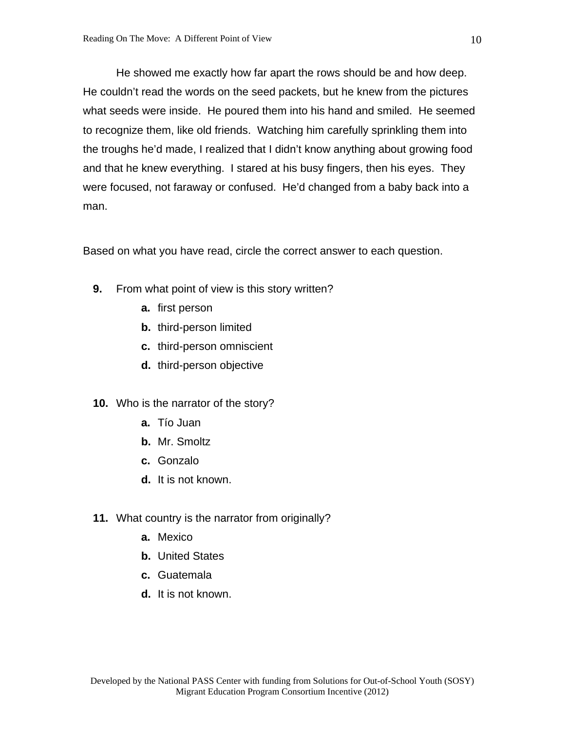He showed me exactly how far apart the rows should be and how deep. He couldn't read the words on the seed packets, but he knew from the pictures what seeds were inside. He poured them into his hand and smiled. He seemed to recognize them, like old friends. Watching him carefully sprinkling them into the troughs he'd made, I realized that I didn't know anything about growing food and that he knew everything. I stared at his busy fingers, then his eyes. They were focused, not faraway or confused. He'd changed from a baby back into a man.

Based on what you have read, circle the correct answer to each question.

- **9.** From what point of view is this story written?
	- **a.** first person
	- **b.** third-person limited
	- **c.** third-person omniscient
	- **d.** third-person objective
- **10.** Who is the narrator of the story?
	- **a.** Tío Juan
	- **b.** Mr. Smoltz
	- **c.** Gonzalo
	- **d.** It is not known.
- **11.** What country is the narrator from originally?
	- **a.** Mexico
	- **b.** United States
	- **c.** Guatemala
	- **d.** It is not known.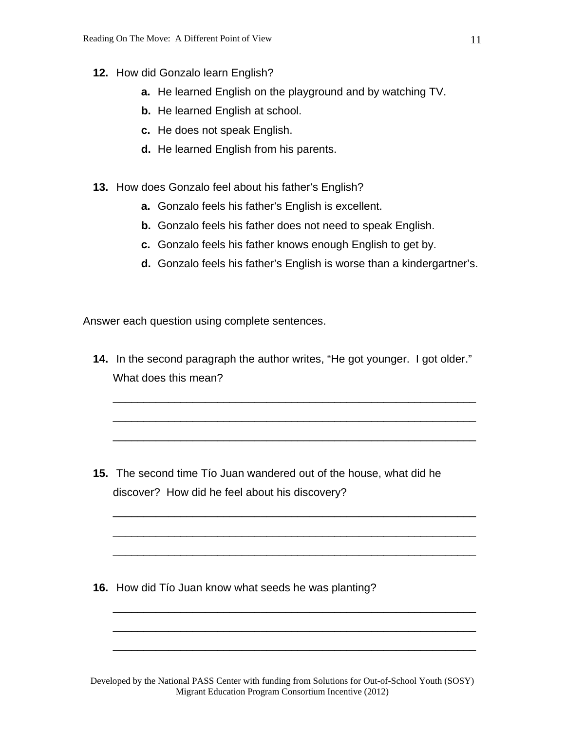- **12.** How did Gonzalo learn English?
	- **a.** He learned English on the playground and by watching TV.
	- **b.** He learned English at school.
	- **c.** He does not speak English.
	- **d.** He learned English from his parents.
- **13.** How does Gonzalo feel about his father's English?
	- **a.** Gonzalo feels his father's English is excellent.
	- **b.** Gonzalo feels his father does not need to speak English.
	- **c.** Gonzalo feels his father knows enough English to get by.
	- **d.** Gonzalo feels his father's English is worse than a kindergartner's.

Answer each question using complete sentences.

**14.** In the second paragraph the author writes, "He got younger. I got older." What does this mean?

\_\_\_\_\_\_\_\_\_\_\_\_\_\_\_\_\_\_\_\_\_\_\_\_\_\_\_\_\_\_\_\_\_\_\_\_\_\_\_\_\_\_\_\_\_\_\_\_\_\_\_\_\_\_\_\_\_\_\_

\_\_\_\_\_\_\_\_\_\_\_\_\_\_\_\_\_\_\_\_\_\_\_\_\_\_\_\_\_\_\_\_\_\_\_\_\_\_\_\_\_\_\_\_\_\_\_\_\_\_\_\_\_\_\_\_\_\_\_

\_\_\_\_\_\_\_\_\_\_\_\_\_\_\_\_\_\_\_\_\_\_\_\_\_\_\_\_\_\_\_\_\_\_\_\_\_\_\_\_\_\_\_\_\_\_\_\_\_\_\_\_\_\_\_\_\_\_\_

\_\_\_\_\_\_\_\_\_\_\_\_\_\_\_\_\_\_\_\_\_\_\_\_\_\_\_\_\_\_\_\_\_\_\_\_\_\_\_\_\_\_\_\_\_\_\_\_\_\_\_\_\_\_\_\_\_\_\_

\_\_\_\_\_\_\_\_\_\_\_\_\_\_\_\_\_\_\_\_\_\_\_\_\_\_\_\_\_\_\_\_\_\_\_\_\_\_\_\_\_\_\_\_\_\_\_\_\_\_\_\_\_\_\_\_\_\_\_

\_\_\_\_\_\_\_\_\_\_\_\_\_\_\_\_\_\_\_\_\_\_\_\_\_\_\_\_\_\_\_\_\_\_\_\_\_\_\_\_\_\_\_\_\_\_\_\_\_\_\_\_\_\_\_\_\_\_\_

\_\_\_\_\_\_\_\_\_\_\_\_\_\_\_\_\_\_\_\_\_\_\_\_\_\_\_\_\_\_\_\_\_\_\_\_\_\_\_\_\_\_\_\_\_\_\_\_\_\_\_\_\_\_\_\_\_\_\_

\_\_\_\_\_\_\_\_\_\_\_\_\_\_\_\_\_\_\_\_\_\_\_\_\_\_\_\_\_\_\_\_\_\_\_\_\_\_\_\_\_\_\_\_\_\_\_\_\_\_\_\_\_\_\_\_\_\_\_

\_\_\_\_\_\_\_\_\_\_\_\_\_\_\_\_\_\_\_\_\_\_\_\_\_\_\_\_\_\_\_\_\_\_\_\_\_\_\_\_\_\_\_\_\_\_\_\_\_\_\_\_\_\_\_\_\_\_\_

**15.** The second time Tío Juan wandered out of the house, what did he discover? How did he feel about his discovery?

**16.** How did Tío Juan know what seeds he was planting?

Developed by the National PASS Center with funding from Solutions for Out-of-School Youth (SOSY) Migrant Education Program Consortium Incentive (2012)